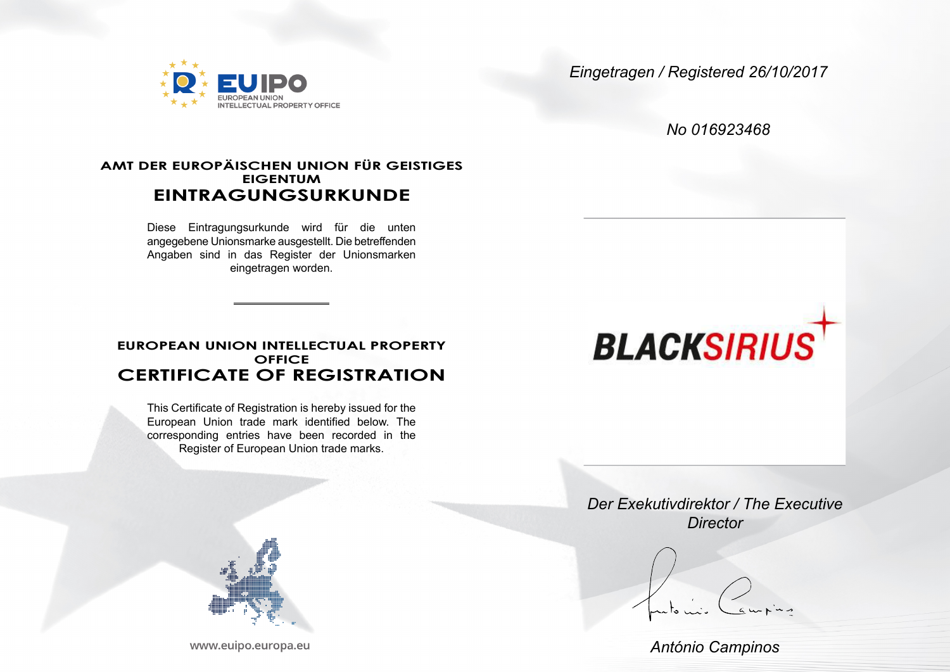

*Eingetragen / Registered 26/10/2017*

*No 016923468*

## **AMT DER EUROPÄISCHEN UNION FÜR GEISTIGES EIGENTUM EINTRAGUNGSURKUNDE**

Diese Eintragungsurkunde wird für die unten angegebene Unionsmarke ausgestellt. Die betreffenden Angaben sind in das Register der Unionsmarken eingetragen worden.

## **EUROPEAN UNION INTELLECTUAL PROPERTY OFFICE CERTIFICATE OF REGISTRATION**

This Certificate of Registration is hereby issued for the European Union trade mark identified below. The corresponding entries have been recorded in the Register of European Union trade marks.



www.euipo.europa.eu

# **BLACKSIRIUS**

*Der Exekutivdirektor / The Executive Director*

*António Campinos*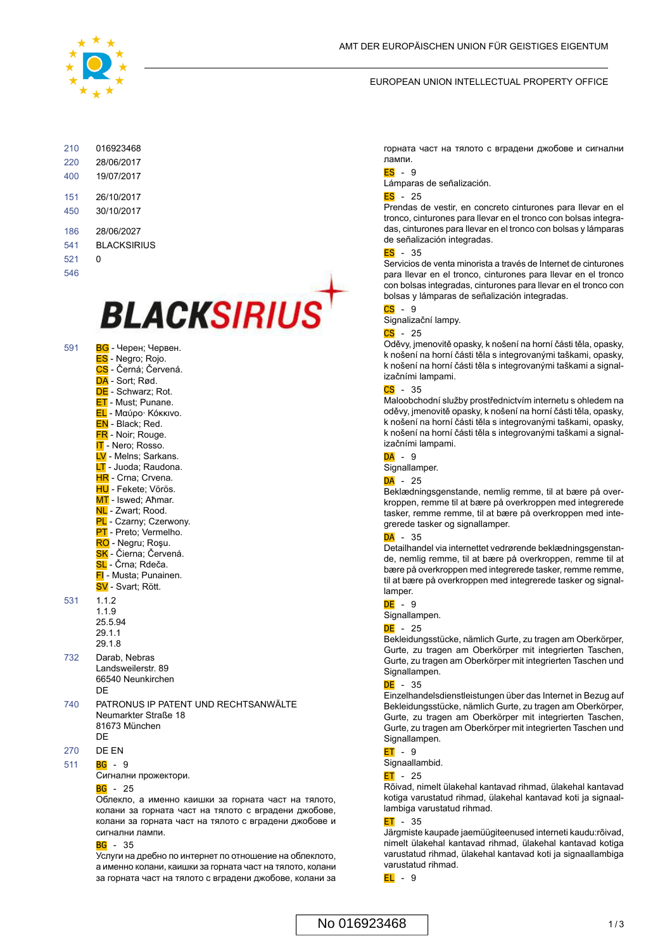

#### EUROPEAN UNION INTELLECTUAL PROPERTY OFFICE

| 210 | 016923468    |
|-----|--------------|
| 220 | 28/06/2017   |
| 400 | 19/07/2017   |
| 151 | 26/10/2017   |
| 450 | 30/10/2017   |
| 186 | 28/06/2027   |
| 541 | BI ACKSIRIUS |
| 521 | n            |
| 546 |              |

## **BLACKSIRIUS**

- 591 **BG** Черен; Червен. ES - Negro; Rojo. CS - Černá; Červená. DA - Sort: Rød. DE - Schwarz; Rot. **ET** - Must: Punane. EL - Μαύρο· Κόκκινο. EN - Black; Red. FR - Noir; Rouge. **IT** - Nero; Rosso. LV - Melns: Sarkans. LT - Juoda; Raudona. HR - Crna: Crvena. HU - Fekete; Vörös. MT - Iswed; Aħmar. NL - Zwart: Rood. PL - Czarny; Czerwony. PT - Preto; Vermelho. RO - Negru; Roşu. SK - Čierna; Červená. SL - Črna: Rdeča FI - Musta; Punainen. SV - Svart; Rött. 531 1.1.2 1.1.9 25.5.94 29.1.1 29.1.8 732 Darab, Nebras Landsweilerstr. 89
- 66540 Neunkirchen DE
- 740 PATRONUS IP PATENT UND RECHTSANWÄLTE Neumarkter Straße 18 81673 München **DE**
- 270 DE EN
- $\overline{BG}$  9 511

Сигнални прожектори.

#### $BG - 25$

Облекло, а именно каишки за горната част на тялото, колани за горната част на тялото с вградени джобове, колани за горната част на тялото с вградени джобове и сигнални лампи.

#### $BG - 35$

Услуги на дребно по интернет по отношение на облеклото, а именно колани, каишки за горната част на тялото, колани за горната част на тялото с вградени джобове, колани за

горната част на тялото с вградени джобове и сигнални лампи.

#### ES - 9

Lámparas de señalización.

#### $ES - 25$

Prendas de vestir, en concreto cinturones para llevar en el tronco, cinturones para llevar en el tronco con bolsas integradas, cinturones para llevar en el tronco con bolsas y lámparas de señalización integradas.

#### ES - 35

Servicios de venta minorista a través de Internet de cinturones para llevar en el tronco, cinturones para llevar en el tronco con bolsas integradas, cinturones para llevar en el tronco con bolsas y lámparas de señalización integradas.

## $\overline{\text{CS}}$  - 9

Signalizační lampy.

#### $CS - 25$

Oděvy, jmenovitě opasky, k nošení na horní části těla, opasky, k nošení na horní části těla s integrovanými taškami, opasky, k nošení na horní části těla s integrovanými taškami a signalizačními lampami.

#### $CS - 35$

Maloobchodní služby prostřednictvím internetu s ohledem na oděvy, jmenovitě opasky, k nošení na horní části těla, opasky, k nošení na horní části těla s integrovanými taškami, opasky, k nošení na horní části těla s integrovanými taškami a signalizačními lampami.

## $DA - 9$

Signallamper.

#### $DA - 25$

Beklædningsgenstande, nemlig remme, til at bære på overkroppen, remme til at bære på overkroppen med integrerede tasker, remme remme, til at bære på overkroppen med integrerede tasker og signallamper.

#### $\overline{\mathsf{DA}}$  - 35

Detailhandel via internettet vedrørende beklædningsgenstande, nemlig remme, til at bære på overkroppen, remme til at bære på overkroppen med integrerede tasker, remme remme, til at bære på overkroppen med integrerede tasker og signallamper.

#### DE - 9

Signallampen.

#### $DF - 25$

Bekleidungsstücke, nämlich Gurte, zu tragen am Oberkörper, Gurte, zu tragen am Oberkörper mit integrierten Taschen, Gurte, zu tragen am Oberkörper mit integrierten Taschen und Signallampen.

#### $DE - 35$

Einzelhandelsdienstleistungen über das Internet in Bezug auf Bekleidungsstücke, nämlich Gurte, zu tragen am Oberkörper, Gurte, zu tragen am Oberkörper mit integrierten Taschen, Gurte, zu tragen am Oberkörper mit integrierten Taschen und Signallampen.

## $ET - 9$

Signaallambid.

## $ET - 25$

Rõivad, nimelt ülakehal kantavad rihmad, ülakehal kantavad kotiga varustatud rihmad, ülakehal kantavad koti ja signaallambiga varustatud rihmad.

#### $FT - 35$

Järgmiste kaupade jaemüügiteenused interneti kaudu:rõivad, nimelt ülakehal kantavad rihmad, ülakehal kantavad kotiga varustatud rihmad, ülakehal kantavad koti ja signaallambiga varustatud rihmad.

 $EL - 9$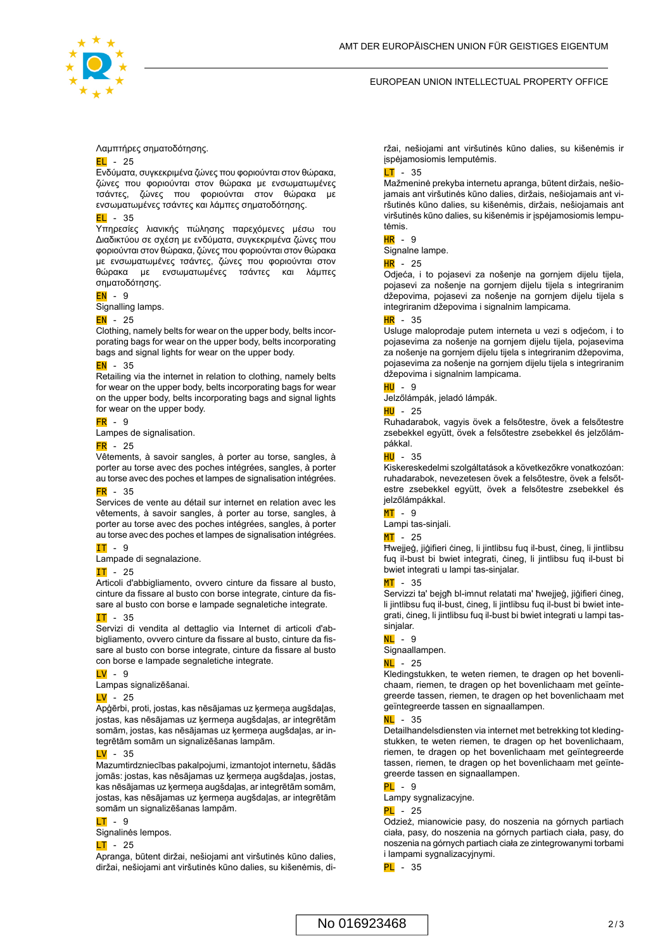

#### EUROPEAN UNION INTELLECTUAL PROPERTY OFFICE

#### Λαμπτήρες σηματοδότησης.

#### $EL - 25$

Ενδύματα, συγκεκριμένα ζώνες που φοριούνται στον θώρακα, ζώνες που φοριούνται στον θώρακα με ενσωματωμένες τσάντες, ζώνες που φοριούνται στον θώρακα με ενσωματωμένες τσάντες και λάμπες σηματοδότησης.

#### $EL - 35$

Υπηρεσίες λιανικής πώλησης παρεχόμενες μέσω του Διαδικτύου σε σχέση με ενδύματα, συγκεκριμένα ζώνες που φοριούνται στον θώρακα, ζώνες που φοριούνται στον θώρακα με ενσωματωμένες τσάντες, ζώνες που φοριούνται στον θώρακα με ενσωματωμένες τσάντες και λάμπες σηματοδότησης.

#### $EN - 9$

Signalling lamps.

#### $EN - 25$

Clothing, namely belts for wear on the upper body, belts incorporating bags for wear on the upper body, belts incorporating bags and signal lights for wear on the upper body.

## $EN - 35$

Retailing via the internet in relation to clothing, namely belts for wear on the upper body, belts incorporating bags for wear on the upper body, belts incorporating bags and signal lights for wear on the upper body.

#### $FR - 9$

Lampes de signalisation.

#### $FR - 25$

Vêtements, à savoir sangles, à porter au torse, sangles, à porter au torse avec des poches intégrées, sangles, à porter au torse avec des poches et lampes de signalisation intégrées.

## $FR - 35$

Services de vente au détail sur internet en relation avec les vêtements, à savoir sangles, à porter au torse, sangles, à porter au torse avec des poches intégrées, sangles, à porter au torse avec des poches et lampes de signalisation intégrées.

#### $IT - 9$

Lampade di segnalazione.

#### IT - 25

Articoli d'abbigliamento, ovvero cinture da fissare al busto, cinture da fissare al busto con borse integrate, cinture da fissare al busto con borse e lampade segnaletiche integrate.

#### $TT - 35$

Servizi di vendita al dettaglio via Internet di articoli d'abbigliamento, ovvero cinture da fissare al busto, cinture da fissare al busto con borse integrate, cinture da fissare al busto con borse e lampade segnaletiche integrate.

#### LV - 9

Lampas signalizēšanai.

#### $\overline{IV}$  - 25

Apģērbi, proti, jostas, kas nēsājamas uz ķermeņa augšdaļas, jostas, kas nēsājamas uz ķermeņa augšdaļas, ar integrētām somām, jostas, kas nēsājamas uz ķermeņa augšdaļas, ar integrētām somām un signalizēšanas lampām.

#### LV - 35

Mazumtirdzniecības pakalpojumi, izmantojot internetu, šādās jomās: jostas, kas nēsājamas uz ķermeņa augšdaļas, jostas, kas nēsājamas uz ķermeņa augšdaļas, ar integrētām somām, jostas, kas nēsājamas uz ķermeņa augšdaļas, ar integrētām somām un signalizēšanas lampām.

#### LT - 9

Signalinės lempos.

#### $LT - 25$

Apranga, būtent diržai, nešiojami ant viršutinės kūno dalies, diržai, nešiojami ant viršutinės kūno dalies, su kišenėmis, diržai, nešiojami ant viršutinės kūno dalies, su kišenėmis ir įspėjamosiomis lemputėmis.

#### $LT - 35$

Mažmeninė prekyba internetu apranga, būtent diržais, nešiojamais ant viršutinės kūno dalies, diržais, nešiojamais ant viršutinės kūno dalies, su kišenėmis, diržais, nešiojamais ant viršutinės kūno dalies, su kišenėmis ir įspėjamosiomis lemputėmis.

#### HR - 9

Signalne lampe.

 $HR - 25$ 

Odjeća, i to pojasevi za nošenje na gornjem dijelu tijela, pojasevi za nošenje na gornjem dijelu tijela s integriranim džepovima, pojasevi za nošenje na gornjem dijelu tijela s integriranim džepovima i signalnim lampicama.

#### $HR - 35$

Usluge maloprodaje putem interneta u vezi s odjećom, i to pojasevima za nošenje na gornjem dijelu tijela, pojasevima za nošenje na gornjem dijelu tijela s integriranim džepovima, pojasevima za nošenje na gornjem dijelu tijela s integriranim džepovima i signalnim lampicama.

#### HU - 9

Jelzőlámpák, jeladó lámpák.

#### HU - 25

Ruhadarabok, vagyis övek a felsőtestre, övek a felsőtestre zsebekkel együtt, övek a felsőtestre zsebekkel és jelzőlámpákkal.

#### $H$ U - 35

Kiskereskedelmi szolgáltatások a következőkre vonatkozóan: ruhadarabok, nevezetesen övek a felsőtestre, övek a felsőtestre zsebekkel együtt, övek a felsőtestre zsebekkel és jelzőlámpákkal.

#### MT - 9

Lampi tas-sinjali.

#### $MT - 25$

Ħwejjeġ, jiġifieri ċineg, li jintlibsu fuq il-bust, ċineg, li jintlibsu fuq il-bust bi bwiet integrati, ċineg, li jintlibsu fuq il-bust bi bwiet integrati u lampi tas-sinjalar.

#### MT - 35

Servizzi ta' bejgħ bl-imnut relatati ma' ħwejjeġ, jiġifieri ċineg, li jintlibsu fuq il-bust, ċineg, li jintlibsu fuq il-bust bi bwiet integrati, čineg, li jintlibsu fug il-bust bi bwiet integrati u lampi tassinjalar.

## $NL - 9$

Signaallampen.

#### $NL - 25$

Kledingstukken, te weten riemen, te dragen op het bovenlichaam, riemen, te dragen op het bovenlichaam met geïntegreerde tassen, riemen, te dragen op het bovenlichaam met geïntegreerde tassen en signaallampen.

## $Nl$  - 35

Detailhandelsdiensten via internet met betrekking tot kledingstukken, te weten riemen, te dragen op het bovenlichaam, riemen, te dragen op het bovenlichaam met geïntegreerde tassen, riemen, te dragen op het bovenlichaam met geïntegreerde tassen en signaallampen.

#### $PI - 9$

Lampy sygnalizacyjne.

#### $PL - 25$

Odzież, mianowicie pasy, do noszenia na górnych partiach ciała, pasy, do noszenia na górnych partiach ciała, pasy, do noszenia na górnych partiach ciała ze zintegrowanymi torbami i lampami sygnalizacyjnymi.

 $PL - 35$